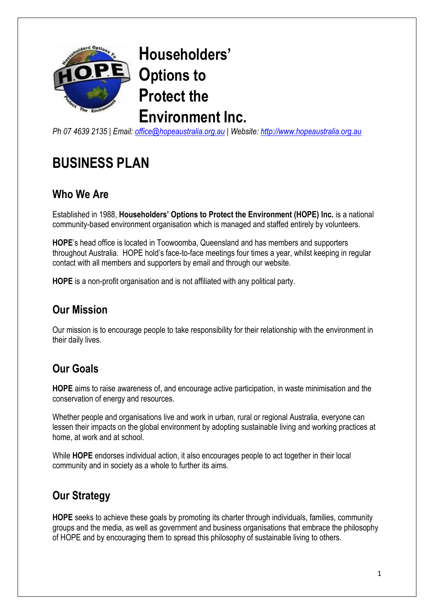

**Householders' Options to Protect the Environment Inc.**

*Ph 07 4639 2135 | Email: [office@hopeaustralia.org.au](mailto:office@hopeaustralia.org.au) | Website: [http://www.hopeaustralia.org.au](http://www.hopeaustralia.org.au/)*

# **BUSINESS PLAN**

#### **Who We Are**

Established in 1988, **Householders' Options to Protect the Environment (HOPE) Inc.** is a national community-based environment organisation which is managed and staffed entirely by volunteers.

**HOPE**'s head office is located in Toowoomba, Queensland and has members and supporters throughout Australia. HOPE hold's face-to-face meetings four times a year, whilst keeping in regular contact with all members and supporters by email and through our website.

**HOPE** is a non-profit organisation and is not affiliated with any political party.

#### **Our Mission**

Our mission is to encourage people to take responsibility for their relationship with the environment in their daily lives.

## **Our Goals**

**HOPE** aims to raise awareness of, and encourage active participation, in waste minimisation and the conservation of energy and resources.

Whether people and organisations live and work in urban, rural or regional Australia, everyone can lessen their impacts on the global environment by adopting sustainable living and working practices at home, at work and at school.

While **HOPE** endorses individual action, it also encourages people to act together in their local community and in society as a whole to further its aims.

## **Our Strategy**

**HOPE** seeks to achieve these goals by promoting its charter through individuals, families, community groups and the media, as well as government and business organisations that embrace the philosophy of HOPE and by encouraging them to spread this philosophy of sustainable living to others.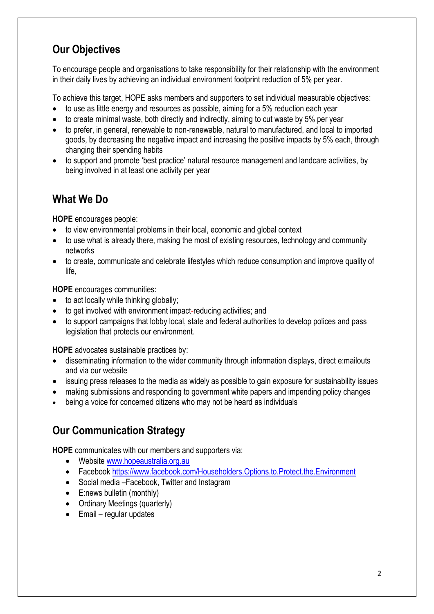## **Our Objectives**

To encourage people and organisations to take responsibility for their relationship with the environment in their daily lives by achieving an individual environment footprint reduction of 5% per year.

To achieve this target, HOPE asks members and supporters to set individual measurable objectives:

- to use as little energy and resources as possible, aiming for a 5% reduction each year
- $\bullet$  to create minimal waste, both directly and indirectly, aiming to cut waste by 5% per year
- to prefer, in general, renewable to non-renewable, natural to manufactured, and local to imported goods, by decreasing the negative impact and increasing the positive impacts by 5% each, through changing their spending habits
- to support and promote 'best practice' natural resource management and landcare activities, by being involved in at least one activity per year

#### **What We Do**

**HOPE** encourages people:

- to view environmental problems in their local, economic and global context
- to use what is already there, making the most of existing resources, technology and community networks
- to create, communicate and celebrate lifestyles which reduce consumption and improve quality of life,

**HOPE** encourages communities:

- to act locally while thinking globally;
- to get involved with environment impact-reducing activities; and
- to support campaigns that lobby local, state and federal authorities to develop polices and pass legislation that protects our environment.

**HOPE** advocates sustainable practices by:

- disseminating information to the wider community through information displays, direct e:mailouts and via our website
- issuing press releases to the media as widely as possible to gain exposure for sustainability issues
- making submissions and responding to government white papers and impending policy changes
- being a voice for concerned citizens who may not be heard as individuals

#### **Our Communication Strategy**

**HOPE** communicates with our members and supporters via:

- Website [www.hopeaustralia.org.au](http://www.hopeaustralia.org.au/)
- Facebook<https://www.facebook.com/Householders.Options.to.Protect.the.Environment>
- Social media Facebook, Twitter and Instagram
- E:news bulletin (monthly)
- Ordinary Meetings (quarterly)
- $\bullet$  Email regular updates